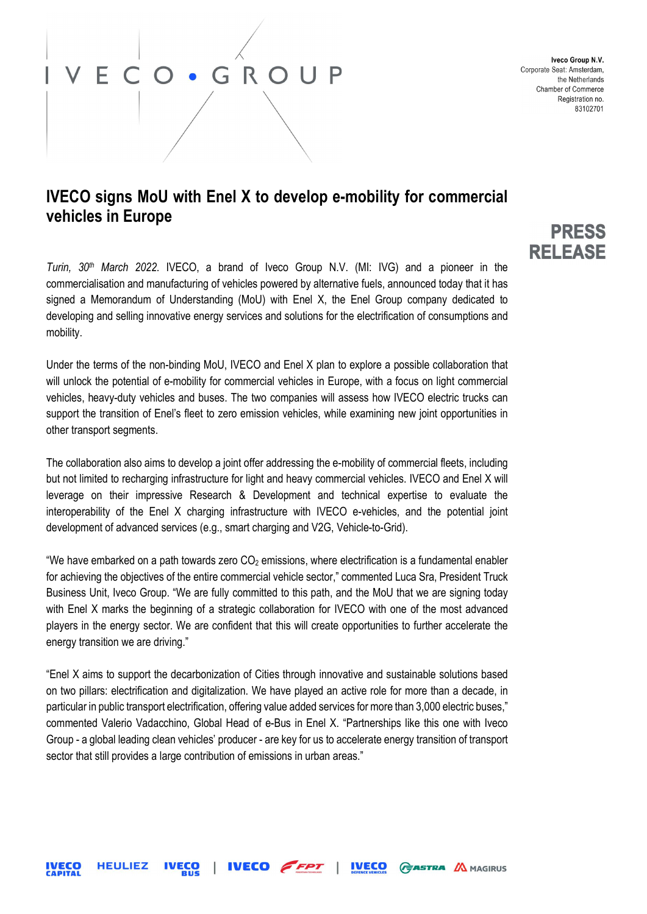# ECO · GROUP

 $\overline{\phantom{a}}$ 

Iveco Group N.V. Corporate Seat: Amsterdam, the Netherlands Chamber of Commerce Registration no. 83102701

### IVECO signs MoU with Enel X to develop e-mobility for commercial vehicles in Europe

Turin, 30<sup>th</sup> March 2022. IVECO, a brand of Iveco Group N.V. (MI: IVG) and a pioneer in the commercialisation and manufacturing of vehicles powered by alternative fuels, announced today that it has signed a Memorandum of Understanding (MoU) with Enel X, the Enel Group company dedicated to developing and selling innovative energy services and solutions for the electrification of consumptions and mobility.

Under the terms of the non-binding MoU, IVECO and Enel X plan to explore a possible collaboration that will unlock the potential of e-mobility for commercial vehicles in Europe, with a focus on light commercial vehicles, heavy-duty vehicles and buses. The two companies will assess how IVECO electric trucks can support the transition of Enel's fleet to zero emission vehicles, while examining new joint opportunities in other transport segments.

The collaboration also aims to develop a joint offer addressing the e-mobility of commercial fleets, including but not limited to recharging infrastructure for light and heavy commercial vehicles. IVECO and Enel X will leverage on their impressive Research & Development and technical expertise to evaluate the interoperability of the Enel X charging infrastructure with IVECO e-vehicles, and the potential joint development of advanced services (e.g., smart charging and V2G, Vehicle-to-Grid).

"We have embarked on a path towards zero  $CO<sub>2</sub>$  emissions, where electrification is a fundamental enabler for achieving the objectives of the entire commercial vehicle sector," commented Luca Sra, President Truck Business Unit, Iveco Group. "We are fully committed to this path, and the MoU that we are signing today with Enel X marks the beginning of a strategic collaboration for IVECO with one of the most advanced players in the energy sector. We are confident that this will create opportunities to further accelerate the energy transition we are driving."

"Enel X aims to support the decarbonization of Cities through innovative and sustainable solutions based on two pillars: electrification and digitalization. We have played an active role for more than a decade, in particular in public transport electrification, offering value added services for more than 3,000 electric buses," commented Valerio Vadacchino, Global Head of e-Bus in Enel X. "Partnerships like this one with Iveco Group - a global leading clean vehicles' producer - are key for us to accelerate energy transition of transport sector that still provides a large contribution of emissions in urban areas."

### PRESS **RELEASE**

**HEULIEZ IVECO** FFPT **IVECO IVECO GASTRA AMAGIRUS**